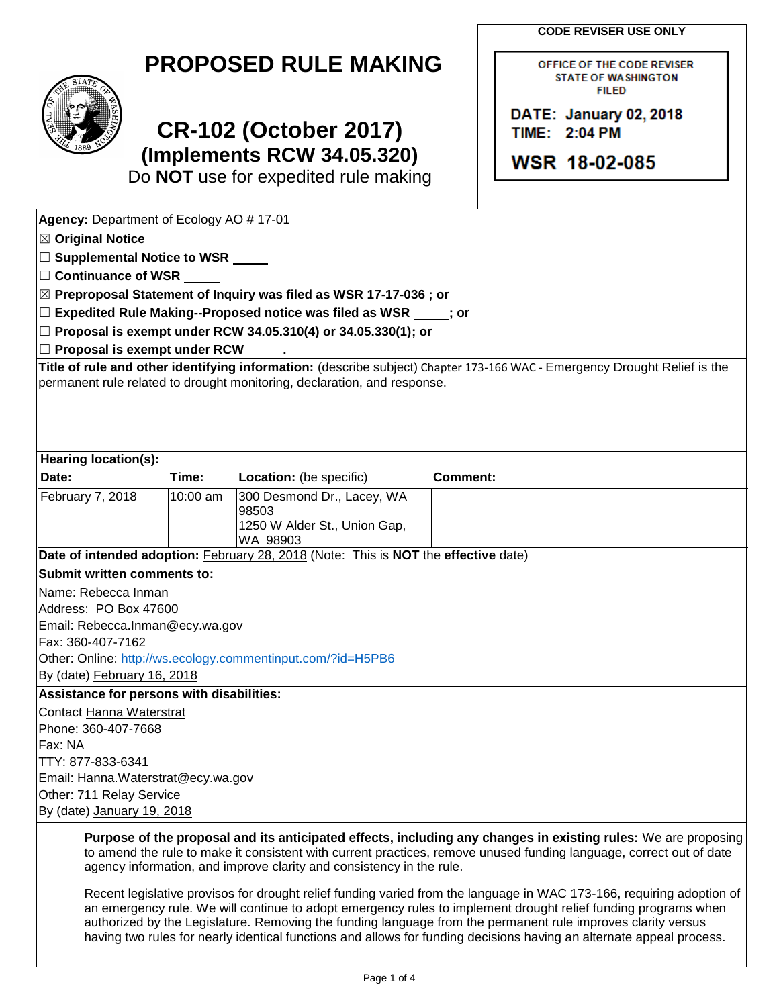**CODE REVISER USE ONLY**

OFFICE OF THE CODE REVISER **STATE OF WASHINGTON FILED** 

DATE: January 02, 2018

**WSR 18-02-085** 

TIME: 2:04 PM



## **CR-102 (October 2017) (Implements RCW 34.05.320)**

Do **NOT** use for expedited rule making

| Agency: Department of Ecology AO #17-01                                       |            |                                                                                     |                 |                                                                                                                                                                                                                                       |  |  |  |
|-------------------------------------------------------------------------------|------------|-------------------------------------------------------------------------------------|-----------------|---------------------------------------------------------------------------------------------------------------------------------------------------------------------------------------------------------------------------------------|--|--|--|
| $\boxtimes$ Original Notice                                                   |            |                                                                                     |                 |                                                                                                                                                                                                                                       |  |  |  |
| □ Supplemental Notice to WSR <u>■ ■</u>                                       |            |                                                                                     |                 |                                                                                                                                                                                                                                       |  |  |  |
| $\Box$ Continuance of WSR                                                     |            |                                                                                     |                 |                                                                                                                                                                                                                                       |  |  |  |
| $ \boxtimes$ Preproposal Statement of Inquiry was filed as WSR 17-17-036 ; or |            |                                                                                     |                 |                                                                                                                                                                                                                                       |  |  |  |
| $\Box$ Expedited Rule Making--Proposed notice was filed as WSR $\Box$ ; or    |            |                                                                                     |                 |                                                                                                                                                                                                                                       |  |  |  |
| $\Box$ Proposal is exempt under RCW 34.05.310(4) or 34.05.330(1); or          |            |                                                                                     |                 |                                                                                                                                                                                                                                       |  |  |  |
| $\Box$ Proposal is exempt under RCW                                           |            |                                                                                     |                 |                                                                                                                                                                                                                                       |  |  |  |
|                                                                               |            |                                                                                     |                 | Title of rule and other identifying information: (describe subject) Chapter 173-166 WAC - Emergency Drought Relief is the                                                                                                             |  |  |  |
| permanent rule related to drought monitoring, declaration, and response.      |            |                                                                                     |                 |                                                                                                                                                                                                                                       |  |  |  |
|                                                                               |            |                                                                                     |                 |                                                                                                                                                                                                                                       |  |  |  |
| <b>Hearing location(s):</b>                                                   |            |                                                                                     |                 |                                                                                                                                                                                                                                       |  |  |  |
| Date:                                                                         | Time:      | Location: (be specific)                                                             | <b>Comment:</b> |                                                                                                                                                                                                                                       |  |  |  |
| February 7, 2018                                                              | $10:00$ am | 300 Desmond Dr., Lacey, WA<br>98503<br>1250 W Alder St., Union Gap,                 |                 |                                                                                                                                                                                                                                       |  |  |  |
|                                                                               |            | WA 98903                                                                            |                 |                                                                                                                                                                                                                                       |  |  |  |
|                                                                               |            | Date of intended adoption: February 28, 2018 (Note: This is NOT the effective date) |                 |                                                                                                                                                                                                                                       |  |  |  |
| Submit written comments to:                                                   |            |                                                                                     |                 |                                                                                                                                                                                                                                       |  |  |  |
| Name: Rebecca Inman                                                           |            |                                                                                     |                 |                                                                                                                                                                                                                                       |  |  |  |
| Address: PO Box 47600                                                         |            |                                                                                     |                 |                                                                                                                                                                                                                                       |  |  |  |
| Email: Rebecca.Inman@ecy.wa.gov                                               |            |                                                                                     |                 |                                                                                                                                                                                                                                       |  |  |  |
| Fax: 360-407-7162                                                             |            |                                                                                     |                 |                                                                                                                                                                                                                                       |  |  |  |
|                                                                               |            | Other: Online: http://ws.ecology.commentinput.com/?id=H5PB6                         |                 |                                                                                                                                                                                                                                       |  |  |  |
| By (date) February 16, 2018                                                   |            |                                                                                     |                 |                                                                                                                                                                                                                                       |  |  |  |
| Assistance for persons with disabilities:                                     |            |                                                                                     |                 |                                                                                                                                                                                                                                       |  |  |  |
| Contact Hanna Waterstrat                                                      |            |                                                                                     |                 |                                                                                                                                                                                                                                       |  |  |  |
| Phone: 360-407-7668                                                           |            |                                                                                     |                 |                                                                                                                                                                                                                                       |  |  |  |
| Fax: NA                                                                       |            |                                                                                     |                 |                                                                                                                                                                                                                                       |  |  |  |
| TTY: 877-833-6341                                                             |            |                                                                                     |                 |                                                                                                                                                                                                                                       |  |  |  |
| Email: Hanna. Waterstrat@ecy.wa.gov                                           |            |                                                                                     |                 |                                                                                                                                                                                                                                       |  |  |  |
| Other: 711 Relay Service                                                      |            |                                                                                     |                 |                                                                                                                                                                                                                                       |  |  |  |
| By (date) January 19, 2018                                                    |            |                                                                                     |                 |                                                                                                                                                                                                                                       |  |  |  |
|                                                                               |            | agency information, and improve clarity and consistency in the rule.                |                 | Purpose of the proposal and its anticipated effects, including any changes in existing rules: We are proposing<br>to amend the rule to make it consistent with current practices, remove unused funding language, correct out of date |  |  |  |

Recent legislative provisos for drought relief funding varied from the language in WAC 173-166, requiring adoption of an emergency rule. We will continue to adopt emergency rules to implement drought relief funding programs when authorized by the Legislature. Removing the funding language from the permanent rule improves clarity versus having two rules for nearly identical functions and allows for funding decisions having an alternate appeal process.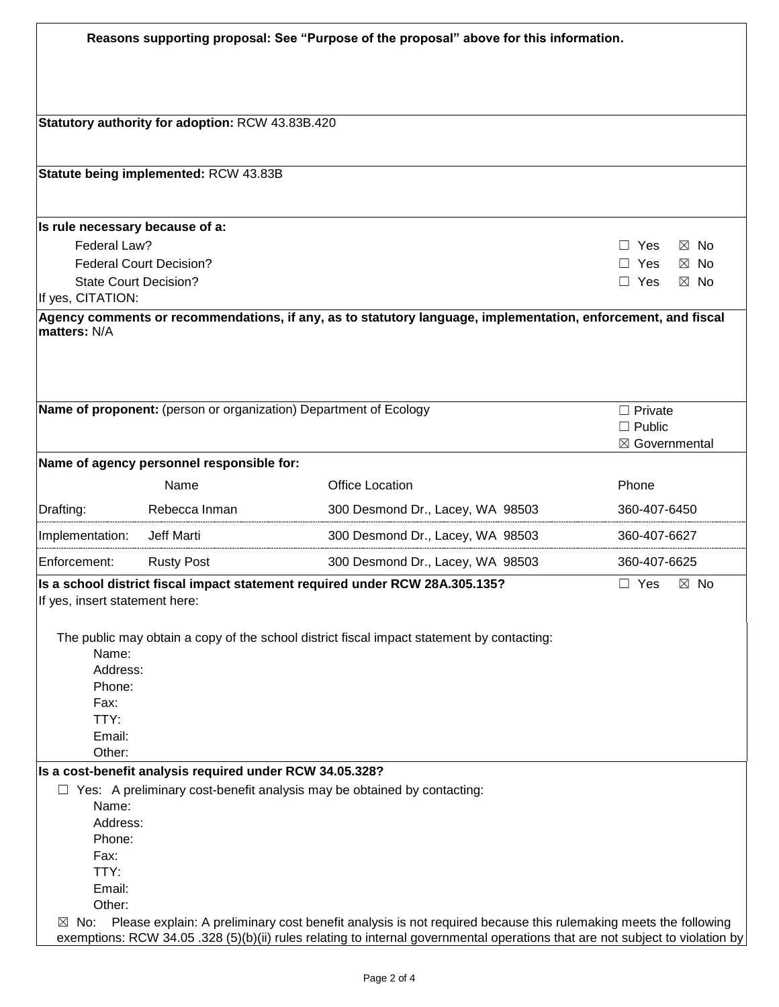| Reasons supporting proposal: See "Purpose of the proposal" above for this information. |                                                  |                                                                                                                               |                              |  |  |  |  |
|----------------------------------------------------------------------------------------|--------------------------------------------------|-------------------------------------------------------------------------------------------------------------------------------|------------------------------|--|--|--|--|
|                                                                                        |                                                  |                                                                                                                               |                              |  |  |  |  |
|                                                                                        |                                                  |                                                                                                                               |                              |  |  |  |  |
|                                                                                        | Statutory authority for adoption: RCW 43.83B.420 |                                                                                                                               |                              |  |  |  |  |
|                                                                                        | Statute being implemented: RCW 43.83B            |                                                                                                                               |                              |  |  |  |  |
|                                                                                        |                                                  |                                                                                                                               |                              |  |  |  |  |
| Is rule necessary because of a:                                                        |                                                  |                                                                                                                               |                              |  |  |  |  |
| Federal Law?                                                                           |                                                  |                                                                                                                               | $\Box$ Yes<br>⊠ No           |  |  |  |  |
| <b>Federal Court Decision?</b>                                                         | Yes<br>П<br>$\boxtimes$ No                       |                                                                                                                               |                              |  |  |  |  |
| <b>State Court Decision?</b>                                                           |                                                  |                                                                                                                               | $\Box$ Yes<br>$\boxtimes$ No |  |  |  |  |
| If yes, CITATION:                                                                      |                                                  |                                                                                                                               |                              |  |  |  |  |
|                                                                                        |                                                  | Agency comments or recommendations, if any, as to statutory language, implementation, enforcement, and fiscal                 |                              |  |  |  |  |
| matters: N/A                                                                           |                                                  |                                                                                                                               |                              |  |  |  |  |
|                                                                                        |                                                  |                                                                                                                               |                              |  |  |  |  |
|                                                                                        |                                                  |                                                                                                                               |                              |  |  |  |  |
|                                                                                        |                                                  |                                                                                                                               |                              |  |  |  |  |
|                                                                                        |                                                  | Name of proponent: (person or organization) Department of Ecology                                                             | $\Box$ Private               |  |  |  |  |
|                                                                                        |                                                  |                                                                                                                               | $\Box$ Public                |  |  |  |  |
|                                                                                        |                                                  |                                                                                                                               | ⊠ Governmental               |  |  |  |  |
|                                                                                        | Name of agency personnel responsible for:        |                                                                                                                               |                              |  |  |  |  |
|                                                                                        | Name                                             | <b>Office Location</b>                                                                                                        | Phone                        |  |  |  |  |
| Drafting:                                                                              | Rebecca Inman                                    | 300 Desmond Dr., Lacey, WA 98503                                                                                              | 360-407-6450                 |  |  |  |  |
| Implementation:                                                                        | Jeff Marti                                       | 300 Desmond Dr., Lacey, WA 98503                                                                                              | 360-407-6627                 |  |  |  |  |
| Enforcement:                                                                           | <b>Rusty Post</b>                                | 300 Desmond Dr., Lacey, WA 98503                                                                                              | 360-407-6625                 |  |  |  |  |
| If yes, insert statement here:                                                         |                                                  | Is a school district fiscal impact statement required under RCW 28A.305.135?                                                  | $\Box$ Yes<br>$\boxtimes$ No |  |  |  |  |
|                                                                                        |                                                  |                                                                                                                               |                              |  |  |  |  |
|                                                                                        |                                                  | The public may obtain a copy of the school district fiscal impact statement by contacting:                                    |                              |  |  |  |  |
| Name:                                                                                  |                                                  |                                                                                                                               |                              |  |  |  |  |
| Address:                                                                               |                                                  |                                                                                                                               |                              |  |  |  |  |
| Phone:                                                                                 |                                                  |                                                                                                                               |                              |  |  |  |  |
| Fax:                                                                                   |                                                  |                                                                                                                               |                              |  |  |  |  |
| TTY:                                                                                   |                                                  |                                                                                                                               |                              |  |  |  |  |
| Email:                                                                                 |                                                  |                                                                                                                               |                              |  |  |  |  |
| Other:                                                                                 |                                                  |                                                                                                                               |                              |  |  |  |  |
| Is a cost-benefit analysis required under RCW 34.05.328?                               |                                                  |                                                                                                                               |                              |  |  |  |  |
| $\Box$ Yes: A preliminary cost-benefit analysis may be obtained by contacting:         |                                                  |                                                                                                                               |                              |  |  |  |  |
| Name:                                                                                  |                                                  |                                                                                                                               |                              |  |  |  |  |
| Address:                                                                               |                                                  |                                                                                                                               |                              |  |  |  |  |
| Phone:<br>Fax:                                                                         |                                                  |                                                                                                                               |                              |  |  |  |  |
| TTY:                                                                                   |                                                  |                                                                                                                               |                              |  |  |  |  |
| Email:                                                                                 |                                                  |                                                                                                                               |                              |  |  |  |  |
| Other:                                                                                 |                                                  |                                                                                                                               |                              |  |  |  |  |
| $\boxtimes$ No:                                                                        |                                                  | Please explain: A preliminary cost benefit analysis is not required because this rulemaking meets the following               |                              |  |  |  |  |
|                                                                                        |                                                  | exemptions: RCW 34.05 .328 (5)(b)(ii) rules relating to internal governmental operations that are not subject to violation by |                              |  |  |  |  |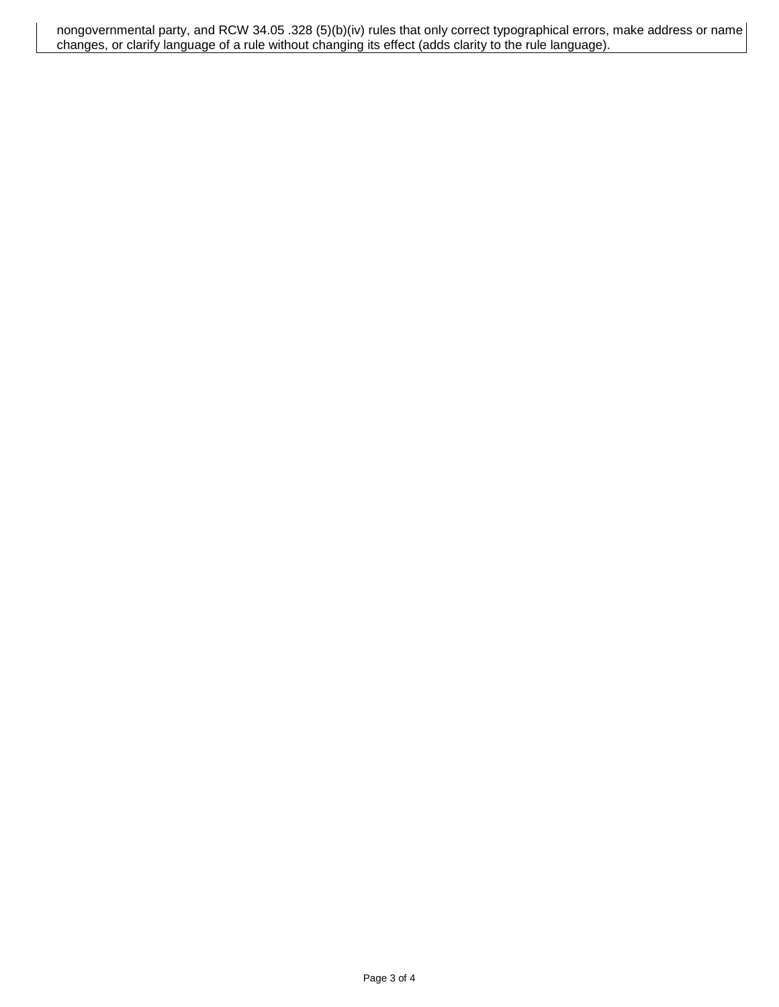nongovernmental party, and RCW 34.05 .328 (5)(b)(iv) rules that only correct typographical errors, make address or name changes, or clarify language of a rule without changing its effect (adds clarity to the rule language).